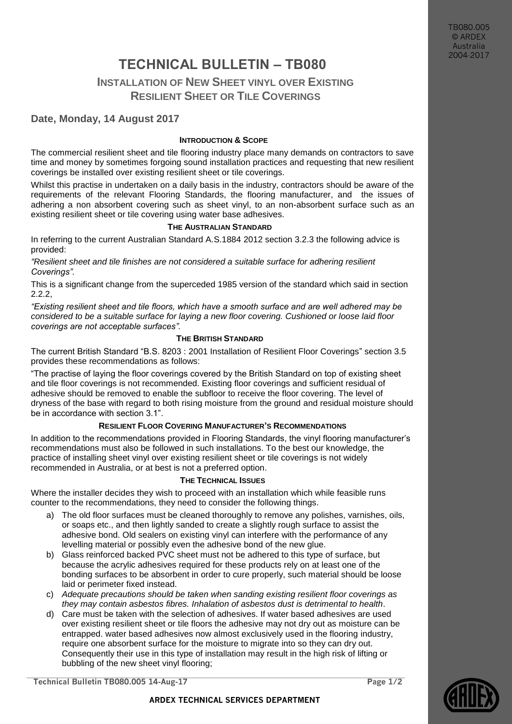TB080.005 © ARDEX Australia 2004-2017

# **TECHNICAL BULLETIN – TB080**

## **INSTALLATION OF NEW SHEET VINYL OVER EXISTING RESILIENT SHEET OR TILE COVERINGS**

## **Date, Monday, 14 August 2017**

## **INTRODUCTION & SCOPE**

The commercial resilient sheet and tile flooring industry place many demands on contractors to save time and money by sometimes forgoing sound installation practices and requesting that new resilient coverings be installed over existing resilient sheet or tile coverings.

Whilst this practise in undertaken on a daily basis in the industry, contractors should be aware of the requirements of the relevant Flooring Standards, the flooring manufacturer, and the issues of adhering a non absorbent covering such as sheet vinyl, to an non-absorbent surface such as an existing resilient sheet or tile covering using water base adhesives.

#### **THE AUSTRALIAN STANDARD**

In referring to the current Australian Standard A.S.1884 2012 section 3.2.3 the following advice is provided:

*"Resilient sheet and tile finishes are not considered a suitable surface for adhering resilient Coverings".*

This is a significant change from the superceded 1985 version of the standard which said in section 2.2.2,

*"Existing resilient sheet and tile floors, which have a smooth surface and are well adhered may be considered to be a suitable surface for laying a new floor covering. Cushioned or loose laid floor coverings are not acceptable surfaces".*

### **THE BRITISH STANDARD**

The current British Standard "B.S. 8203 : 2001 Installation of Resilient Floor Coverings" section 3.5 provides these recommendations as follows:

"The practise of laying the floor coverings covered by the British Standard on top of existing sheet and tile floor coverings is not recommended. Existing floor coverings and sufficient residual of adhesive should be removed to enable the subfloor to receive the floor covering. The level of dryness of the base with regard to both rising moisture from the ground and residual moisture should be in accordance with section 3.1".

## **RESILIENT FLOOR COVERING MANUFACTURER'S RECOMMENDATIONS**

In addition to the recommendations provided in Flooring Standards, the vinyl flooring manufacturer's recommendations must also be followed in such installations. To the best our knowledge, the practice of installing sheet vinyl over existing resilient sheet or tile coverings is not widely recommended in Australia, or at best is not a preferred option.

#### **THE TECHNICAL ISSUES**

Where the installer decides they wish to proceed with an installation which while feasible runs counter to the recommendations, they need to consider the following things.

- a) The old floor surfaces must be cleaned thoroughly to remove any polishes, varnishes, oils, or soaps etc., and then lightly sanded to create a slightly rough surface to assist the adhesive bond. Old sealers on existing vinyl can interfere with the performance of any levelling material or possibly even the adhesive bond of the new glue.
- b) Glass reinforced backed PVC sheet must not be adhered to this type of surface, but because the acrylic adhesives required for these products rely on at least one of the bonding surfaces to be absorbent in order to cure properly, such material should be loose laid or perimeter fixed instead.
- c) *Adequate precautions should be taken when sanding existing resilient floor coverings as they may contain asbestos fibres. Inhalation of asbestos dust is detrimental to health*.
- d) Care must be taken with the selection of adhesives. If water based adhesives are used over existing resilient sheet or tile floors the adhesive may not dry out as moisture can be entrapped. water based adhesives now almost exclusively used in the flooring industry, require one absorbent surface for the moisture to migrate into so they can dry out. Consequently their use in this type of installation may result in the high risk of lifting or bubbling of the new sheet vinyl flooring;

**Technical Bulletin TB080.005 14-Aug-17 Page 1/2**